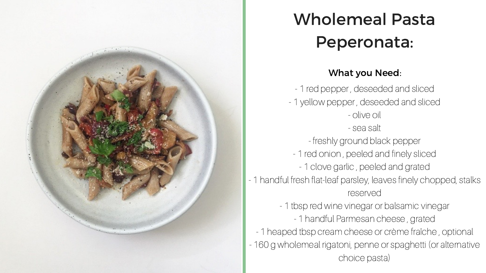

## Wholemeal Pasta Peperonata:

## What you Need:

- 1 red pepper , deseeded and sliced - 1 yellow pepper , deseeded and sliced - olive oil - sea salt - freshly ground black pepper - 1 red onion , peeled and finely sliced - 1 clove garlic , peeled and grated - 1 handful fresh flat-leaf parsley, leaves finely chopped, stalks reserved - 1 tbsp red wine vinegar or balsamic vinegar - 1 handful Parmesan cheese , grated - 1 heaped tbsp cream cheese or crème fraîche , optional - 160 g wholemeal rigatoni, penne or spaghetti (or alternative choice pasta)